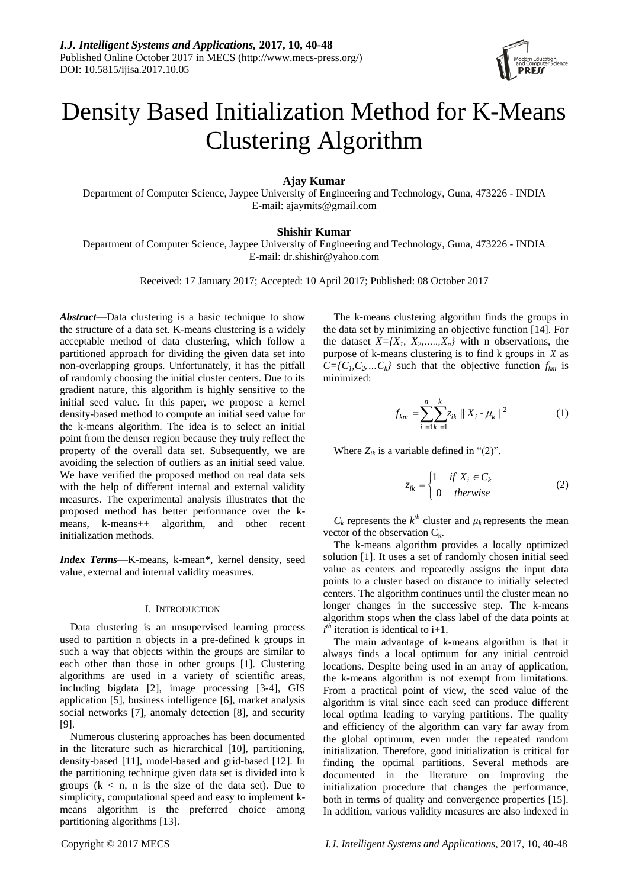

# Density Based Initialization Method for K-Means Clustering Algorithm

**Ajay Kumar**

Department of Computer Science, Jaypee University of Engineering and Technology, Guna, 473226 - INDIA E-mail: ajaymits@gmail.com

## **Shishir Kumar**

Department of Computer Science, Jaypee University of Engineering and Technology, Guna, 473226 - INDIA E-mail: dr.shishir@yahoo.com

Received: 17 January 2017; Accepted: 10 April 2017; Published: 08 October 2017

*Abstract*—Data clustering is a basic technique to show the structure of a data set. K-means clustering is a widely acceptable method of data clustering, which follow a partitioned approach for dividing the given data set into non-overlapping groups. Unfortunately, it has the pitfall of randomly choosing the initial cluster centers. Due to its gradient nature, this algorithm is highly sensitive to the initial seed value. In this paper, we propose a kernel density-based method to compute an initial seed value for the k-means algorithm. The idea is to select an initial point from the denser region because they truly reflect the property of the overall data set. Subsequently, we are avoiding the selection of outliers as an initial seed value. We have verified the proposed method on real data sets with the help of different internal and external validity measures. The experimental analysis illustrates that the proposed method has better performance over the kmeans, k-means++ algorithm, and other recent initialization methods.

*Index Terms*—K-means, k-mean\*, kernel density, seed value, external and internal validity measures.

#### I. INTRODUCTION

Data clustering is an unsupervised learning process used to partition n objects in a pre-defined k groups in such a way that objects within the groups are similar to each other than those in other groups [1]. Clustering algorithms are used in a variety of scientific areas, including bigdata [2], image processing [3-4], GIS application [5], business intelligence [6], market analysis social networks [7], anomaly detection [8], and security [9].

Numerous clustering approaches has been documented in the literature such as hierarchical [10], partitioning, density-based [11], model-based and grid-based [12]. In the partitioning technique given data set is divided into k groups  $(k < n, n$  is the size of the data set). Due to simplicity, computational speed and easy to implement kmeans algorithm is the preferred choice among partitioning algorithms [13].

The k-means clustering algorithm finds the groups in the data set by minimizing an objective function [14]. For the dataset  $X = \{X_1, X_2, \ldots, X_n\}$  with n observations, the purpose of k-means clustering is to find k groups in *X* as  $C = \{C_1, C_2, \ldots, C_k\}$  such that the objective function  $f_{km}$  is minimized:

$$
f_{km} = \sum_{i=1}^{n} \sum_{k=1}^{k} z_{ik} ||X_i - \mu_k||^2
$$
 (1)

Where  $Z_{ik}$  is a variable defined in "(2)".

$$
z_{ik} = \begin{cases} 1 & \text{if } X_i \in C_k \\ 0 & \text{otherwise} \end{cases}
$$
 (2)

 $C_k$  represents the  $k^{th}$  cluster and  $\mu_k$  represents the mean vector of the observation  $C_k$ .

The k-means algorithm provides a locally optimized solution [1]. It uses a set of randomly chosen initial seed value as centers and repeatedly assigns the input data points to a cluster based on distance to initially selected centers. The algorithm continues until the cluster mean no longer changes in the successive step. The k-means algorithm stops when the class label of the data points at  $i^{th}$  iteration is identical to i+1.

The main advantage of k-means algorithm is that it always finds a local optimum for any initial centroid locations. Despite being used in an array of application, the k-means algorithm is not exempt from limitations. From a practical point of view, the seed value of the algorithm is vital since each seed can produce different local optima leading to varying partitions. The quality and efficiency of the algorithm can vary far away from the global optimum, even under the repeated random initialization. Therefore, good initialization is critical for finding the optimal partitions. Several methods are documented in the literature on improving the initialization procedure that changes the performance, both in terms of quality and convergence properties [15]. In addition, various validity measures are also indexed in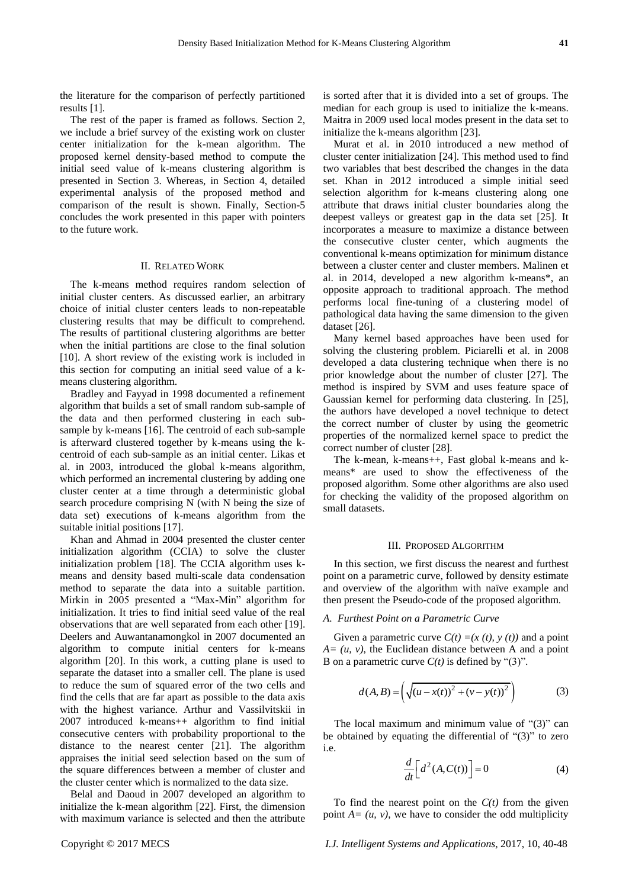the literature for the comparison of perfectly partitioned results [1].

The rest of the paper is framed as follows. Section 2, we include a brief survey of the existing work on cluster center initialization for the k-mean algorithm. The proposed kernel density-based method to compute the initial seed value of k-means clustering algorithm is presented in Section 3. Whereas, in Section 4, detailed experimental analysis of the proposed method and comparison of the result is shown. Finally, Section-5 concludes the work presented in this paper with pointers to the future work.

## II. RELATED WORK

The k-means method requires random selection of initial cluster centers. As discussed earlier, an arbitrary choice of initial cluster centers leads to non-repeatable clustering results that may be difficult to comprehend. The results of partitional clustering algorithms are better when the initial partitions are close to the final solution [10]. A short review of the existing work is included in this section for computing an initial seed value of a kmeans clustering algorithm.

Bradley and Fayyad in 1998 documented a refinement algorithm that builds a set of small random sub-sample of the data and then performed clustering in each subsample by k-means [16]. The centroid of each sub-sample is afterward clustered together by k-means using the kcentroid of each sub-sample as an initial center. Likas et al. in 2003, introduced the global k-means algorithm, which performed an incremental clustering by adding one cluster center at a time through a deterministic global search procedure comprising N (with N being the size of data set) executions of k-means algorithm from the suitable initial positions [17].

Khan and Ahmad in 2004 presented the cluster center initialization algorithm (CCIA) to solve the cluster initialization problem [18]. The CCIA algorithm uses kmeans and density based multi-scale data condensation method to separate the data into a suitable partition. Mirkin in 2005 presented a "Max-Min" algorithm for initialization. It tries to find initial seed value of the real observations that are well separated from each other [19]. Deelers and Auwantanamongkol in 2007 documented an algorithm to compute initial centers for k-means algorithm [20]. In this work, a cutting plane is used to separate the dataset into a smaller cell. The plane is used to reduce the sum of squared error of the two cells and find the cells that are far apart as possible to the data axis with the highest variance. Arthur and Vassilvitskii in 2007 introduced k-means++ algorithm to find initial consecutive centers with probability proportional to the distance to the nearest center [21]. The algorithm appraises the initial seed selection based on the sum of the square differences between a member of cluster and the cluster center which is normalized to the data size.

Belal and Daoud in 2007 developed an algorithm to initialize the k-mean algorithm [22]. First, the dimension with maximum variance is selected and then the attribute

is sorted after that it is divided into a set of groups. The median for each group is used to initialize the k-means. Maitra in 2009 used local modes present in the data set to initialize the k-means algorithm [23].

Murat et al. in 2010 introduced a new method of cluster center initialization [24]. This method used to find two variables that best described the changes in the data set. Khan in 2012 introduced a simple initial seed selection algorithm for k-means clustering along one attribute that draws initial cluster boundaries along the deepest valleys or greatest gap in the data set [25]. It incorporates a measure to maximize a distance between the consecutive cluster center, which augments the conventional k-means optimization for minimum distance between a cluster center and cluster members. Malinen et al. in 2014, developed a new algorithm k-means\*, an opposite approach to traditional approach. The method performs local fine-tuning of a clustering model of pathological data having the same dimension to the given dataset [26].

Many kernel based approaches have been used for solving the clustering problem. Piciarelli et al. in 2008 developed a data clustering technique when there is no prior knowledge about the number of cluster [27]. The method is inspired by SVM and uses feature space of Gaussian kernel for performing data clustering. In [25], the authors have developed a novel technique to detect the correct number of cluster by using the geometric properties of the normalized kernel space to predict the correct number of cluster [28].

The k-mean, k-means++, Fast global k-means and kmeans\* are used to show the effectiveness of the proposed algorithm. Some other algorithms are also used for checking the validity of the proposed algorithm on small datasets.

#### III. PROPOSED ALGORITHM

In this section, we first discuss the nearest and furthest point on a parametric curve, followed by density estimate and overview of the algorithm with na ve example and then present the Pseudo-code of the proposed algorithm.

#### *A. Furthest Point on a Parametric Curve*

Given a parametric curve  $C(t) = (x(t), y(t))$  and a point  $A = (u, v)$ , the Euclidean distance between A and a point B on a parametric curve  $C(t)$  is defined by "(3)".

$$
d(A, B) = \left(\sqrt{(u - x(t))^{2} + (v - y(t))^{2}}\right)
$$
 (3)

The local maximum and minimum value of  $\degree$ (3)<sup>\*</sup> can be obtained by equating the differential of  $\degree$ (3)" to zero i.e.

$$
\frac{d}{dt}\left[d^2(A, C(t))\right] = 0\tag{4}
$$

To find the nearest point on the *C(t)* from the given point  $A = (u, v)$ , we have to consider the odd multiplicity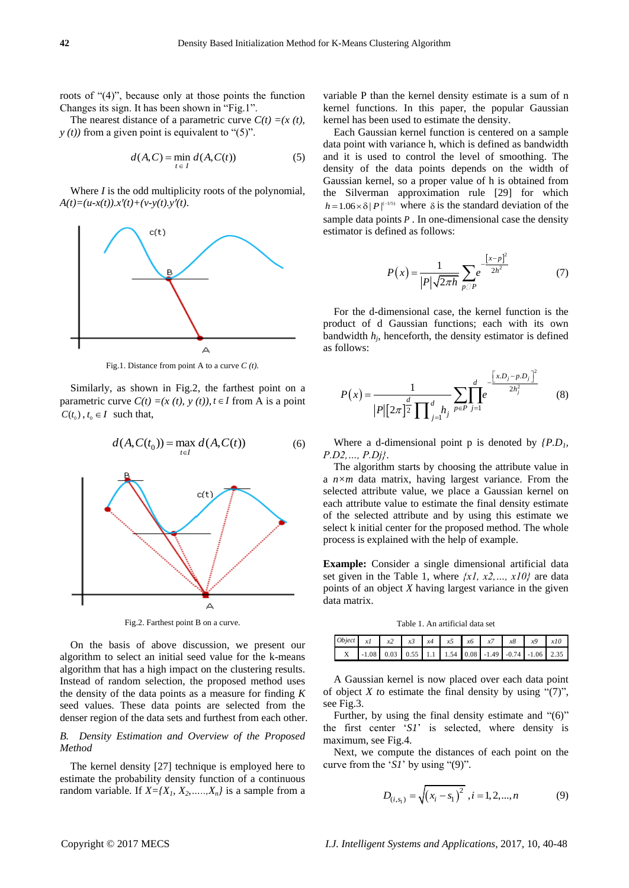roots of  $(4)$ , because only at those points the function Changes its sign. It has been shown in "Fig.1".

The nearest distance of a parametric curve  $C(t) = (x(t))$ ,  $y(t)$  from a given point is equivalent to " $(5)$ ".

$$
d(A, C) = \min_{t \in I} d(A, C(t))
$$
 (5)

Where *I* is the odd multiplicity roots of the polynomial,  $A(t)=(u-x(t)).x'(t)+(v-y(t).y'(t)).$ 



Fig.1. Distance from point A to a curve *C (t).*

Similarly, as shown in Fig.2, the farthest point on a parametric curve  $C(t) = (x(t), y(t)), t \in I$  from A is a point  $C(t_0)$ ,  $t_0 \in I$  such that,



Fig.2. Farthest point B on a curve.

On the basis of above discussion, we present our algorithm to select an initial seed value for the k-means algorithm that has a high impact on the clustering results. Instead of random selection, the proposed method uses the density of the data points as a measure for finding *K* seed values. These data points are selected from the denser region of the data sets and furthest from each other.

## *B. Density Estimation and Overview of the Proposed Method*

The kernel density [27] technique is employed here to estimate the probability density function of a continuous random variable. If  $X = \{X_1, X_2, \ldots, X_n\}$  is a sample from a variable P than the kernel density estimate is a sum of n kernel functions. In this paper, the popular Gaussian kernel has been used to estimate the density.

Each Gaussian kernel function is centered on a sample data point with variance h, which is defined as bandwidth and it is used to control the level of smoothing. The density of the data points depends on the width of Gaussian kernel, so a proper value of h is obtained from the Silverman approximation rule [29] for which  $h = 1.06 \times \delta |P|^{(-1/5)}$  where  $\delta$  is the standard deviation of the sample data points *P* . In one-dimensional case the density estimator is defined as follows:

$$
P(x) = \frac{1}{|P|\sqrt{2\pi h}} \sum_{p \sqcup P} e^{-\frac{\left[x-p\right]^2}{2h^2}} \tag{7}
$$

For the d-dimensional case, the kernel function is the product of d Gaussian functions; each with its own bandwidth  $h_j$ , henceforth, the density estimator is defined as follows:

$$
P(x) = \frac{1}{|P|[2\pi]^{\frac{d}{2}} \prod_{j=1}^{d} h_j} \sum_{p \in P} \prod_{j=1}^{d} e^{-\frac{\left[x.D_j - p.D_j\right]^2}{2h_j^2}}
$$
(8)

Where a d-dimensional point p is denoted by *{P.D1, P.D2,…, P.Dj}*.

The algorithm starts by choosing the attribute value in a *n×m* data matrix, having largest variance. From the selected attribute value, we place a Gaussian kernel on each attribute value to estimate the final density estimate of the selected attribute and by using this estimate we select k initial center for the proposed method. The whole process is explained with the help of example.

**Example:** Consider a single dimensional artificial data set given in the Table 1, where *{x1, x2,…, x10}* are data points of an object *X* having largest variance in the given data matrix.

Table 1. An artificial data set

| Object $xI$ $x2$ $x3$ $x4$ $x5$ $x6$ $x7$ $x8$ $x9$ $x10$ |  |  |  |  |                                                        |
|-----------------------------------------------------------|--|--|--|--|--------------------------------------------------------|
|                                                           |  |  |  |  | X -1.08 0.03 0.55 1.1 1.54 0.08 -1.49 -0.74 -1.06 2.35 |

A Gaussian kernel is now placed over each data point of object *X* to estimate the final density by using  $\lq(7)$ , see Fig.3.

Further, by using the final density estimate and  $\degree$ (6)" the first center 'S1' is selected, where density is maximum, see Fig.4.

Next, we compute the distances of each point on the curve from the ' $SI$ ' by using "(9)".

$$
D_{(i,s_1)} = \sqrt{(x_i - s_1)^2}, i = 1, 2, ..., n
$$
 (9)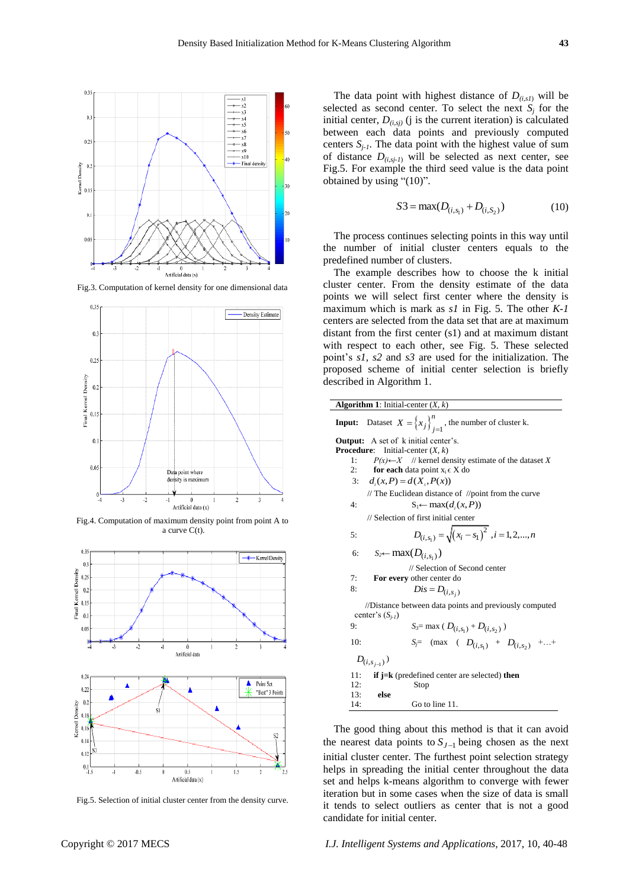$\overline{a}$ 



Fig.3. Computation of kernel density for one dimensional data



Fig.4. Computation of maximum density point from point A to a curve C(t).



Fig.5. Selection of initial cluster center from the density curve.

The data point with highest distance of  $D_{(i,s)}$  will be selected as second center. To select the next  $S_j$  for the initial center,  $D_{(i,si)}$  (j is the current iteration) is calculated between each data points and previously computed centers  $S_i$ -*I*. The data point with the highest value of sum of distance  $D_{(i,s_i-1)}$  will be selected as next center, see Fig.5. For example the third seed value is the data point obtained by using " $(10)$ ".

$$
S3 = \max(D_{(i,s_1)} + D_{(i,s_2)})
$$
 (10)

The process continues selecting points in this way until the number of initial cluster centers equals to the predefined number of clusters.

The example describes how to choose the k initial cluster center. From the density estimate of the data points we will select first center where the density is maximum which is mark as *s1* in Fig. 5. The other *K-1* centers are selected from the data set that are at maximum distant from the first center (s1) and at maximum distant with respect to each other, see Fig. 5. These selected point's *s1, s2* and *s3* are used for the initialization. The proposed scheme of initial center selection is briefly described in Algorithm 1.

| <b>Input:</b> Dataset $X = \left\{x_j\right\}_{i=1}^n$ , the number of cluster k.<br><b>Output:</b> A set of k initial center's. |  |
|----------------------------------------------------------------------------------------------------------------------------------|--|
|                                                                                                                                  |  |
|                                                                                                                                  |  |
| <b>Procedure:</b><br>Initial-center $(X, k)$                                                                                     |  |
| $P(x) \leftarrow X$ // kernel density estimate of the dataset X<br>1:                                                            |  |
| 2:<br><b>for each</b> data point $x_i \in X$ do                                                                                  |  |
| $d_i(x, P) = d(X_i, P(x))$<br>3:                                                                                                 |  |
| // The Euclidean distance of //point from the curve                                                                              |  |
| 4:<br>$S_1 \leftarrow \max(d_i(x, P))$                                                                                           |  |
| // Selection of first initial center                                                                                             |  |
| $D_{(i,s_i)} = \sqrt{(x_i - s_1)^2}$ , $i = 1, 2, , n$<br>5:                                                                     |  |
| $S_2 \leftarrow \max(D_{(i,s_1)})$<br>6:                                                                                         |  |
| // Selection of Second center                                                                                                    |  |
| For every other center do<br>7:                                                                                                  |  |
| 8:<br>$Dis = D_{(i,s_i)}$                                                                                                        |  |
| //Distance between data points and previously computed<br>center's $(S_{i-1})$                                                   |  |
| $S_3 = \max ( D_{(i,s_1)} + D_{(i,s_2)} )$<br>9:                                                                                 |  |
| $S_j$ = (max ( $D_{(i,s_1)}$ + $D_{(i,s_2)}$ ++<br>10:                                                                           |  |
| $D_{(i,s_{i-1})})$                                                                                                               |  |
| 11:<br><b>if j=k</b> (predefined center are selected) <b>then</b>                                                                |  |
| 12:<br>Stop                                                                                                                      |  |
| else<br>13:                                                                                                                      |  |
| Go to line 11.<br>14:                                                                                                            |  |

The good thing about this method is that it can avoid the nearest data points to  $S_{J-1}$  being chosen as the next initial cluster center. The furthest point selection strategy helps in spreading the initial center throughout the data set and helps k-means algorithm to converge with fewer iteration but in some cases when the size of data is small it tends to select outliers as center that is not a good candidate for initial center.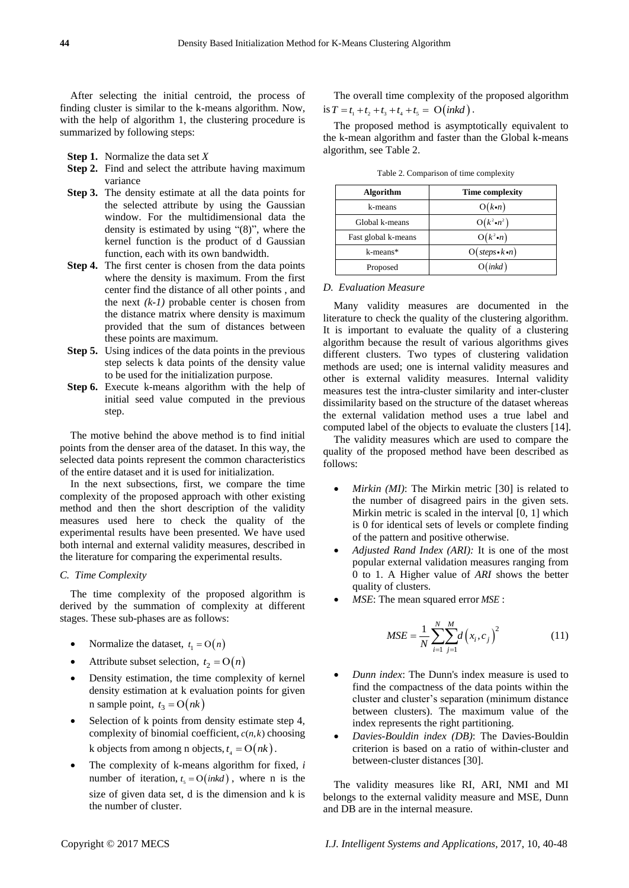After selecting the initial centroid, the process of finding cluster is similar to the k-means algorithm. Now, with the help of algorithm 1, the clustering procedure is summarized by following steps:

**Step 1.** Normalize the data set *X*

- **Step 2.** Find and select the attribute having maximum variance
- **Step 3.** The density estimate at all the data points for the selected attribute by using the Gaussian window. For the multidimensional data the density is estimated by using  $\degree$ (8)", where the kernel function is the product of d Gaussian function, each with its own bandwidth.
- **Step 4.** The first center is chosen from the data points where the density is maximum. From the first center find the distance of all other points , and the next *(k-1)* probable center is chosen from the distance matrix where density is maximum provided that the sum of distances between these points are maximum.
- **Step 5.** Using indices of the data points in the previous step selects k data points of the density value to be used for the initialization purpose.
- **Step 6.** Execute k-means algorithm with the help of initial seed value computed in the previous step.

The motive behind the above method is to find initial points from the denser area of the dataset. In this way, the selected data points represent the common characteristics of the entire dataset and it is used for initialization.

In the next subsections, first, we compare the time complexity of the proposed approach with other existing method and then the short description of the validity measures used here to check the quality of the experimental results have been presented. We have used both internal and external validity measures, described in the literature for comparing the experimental results.

# *C. Time Complexity*

The time complexity of the proposed algorithm is derived by the summation of complexity at different stages. These sub-phases are as follows:

- Normalize the dataset,  $t_1 = O(n)$
- Attribute subset selection,  $t_2 = O(n)$
- Density estimation, the time complexity of kernel density estimation at k evaluation points for given n sample point,  $t_3 = O(nk)$
- Selection of k points from density estimate step 4, complexity of binomial coefficient,  $c(n, k)$  choosing k objects from among n objects,  $t_4 = O(nk)$ .
- The complexity of k-means algorithm for fixed, *i* number of iteration,  $t_5 = O(nkd)$ , where n is the size of given data set, d is the dimension and k is the number of cluster.

The overall time complexity of the proposed algorithm is  $T = t_1 + t_2 + t_3 + t_4 + t_5 = O\left(\frac{ink}{d}\right)$ .

The proposed method is asymptotically equivalent to the k-mean algorithm and faster than the Global k-means algorithm, see Table 2.

| Algorithm           | <b>Time complexity</b>     |
|---------------------|----------------------------|
| k-means             | $O(k\cdot n)$              |
| Global k-means      | $O(k^2 \cdot n^2)$         |
| Fast global k-means | $O(k^2\cdot n)$            |
| k-means*            | $O(steps \cdot k \cdot n)$ |
| Proposed            | O(nkd)                     |

Table 2. Comparison of time complexity

# *D. Evaluation Measure*

Many validity measures are documented in the literature to check the quality of the clustering algorithm. It is important to evaluate the quality of a clustering algorithm because the result of various algorithms gives different clusters. Two types of clustering validation methods are used; one is internal validity measures and other is external validity measures. Internal validity measures test the intra-cluster similarity and inter-cluster dissimilarity based on the structure of the dataset whereas the external validation method uses a true label and computed label of the objects to evaluate the clusters [14].

The validity measures which are used to compare the quality of the proposed method have been described as follows:

- *Mirkin (MI)*: The Mirkin metric [30] is related to the number of disagreed pairs in the given sets. Mirkin metric is scaled in the interval [0, 1] which is 0 for identical sets of levels or complete finding of the pattern and positive otherwise.
- *Adjusted Rand Index (ARI):* It is one of the most popular external validation measures ranging from 0 to 1. A Higher value of *ARI* shows the better quality of clusters.
- *MSE*: The mean squared error *MSE*:

$$
MSE = \frac{1}{N} \sum_{i=1}^{N} \sum_{j=1}^{M} d(x_i, c_j)^2
$$
 (11)

- *Dunn index*: The Dunn's index measure is used to find the compactness of the data points within the cluster and cluster's separation (minimum distance between clusters). The maximum value of the index represents the right partitioning.
- *Davies-Bouldin index (DB)*: The Davies-Bouldin criterion is based on a ratio of within-cluster and between-cluster distances [30].

The validity measures like RI, ARI, NMI and MI belongs to the external validity measure and MSE, Dunn and DB are in the internal measure.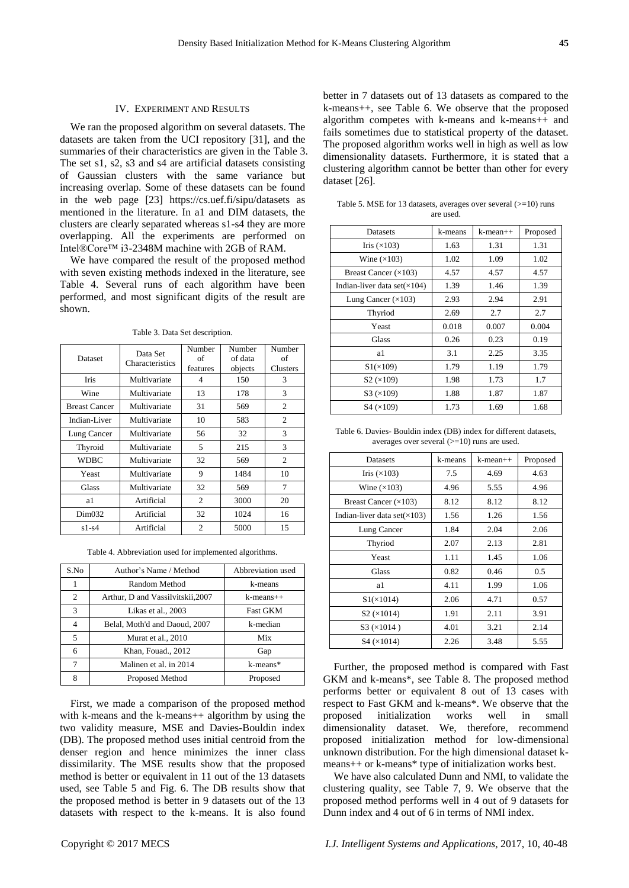## IV. EXPERIMENT AND RESULTS

We ran the proposed algorithm on several datasets. The datasets are taken from the UCI repository [31], and the summaries of their characteristics are given in the Table 3. The set s1, s2, s3 and s4 are artificial datasets consisting of Gaussian clusters with the same variance but increasing overlap. Some of these datasets can be found in the web page [23] https://cs.uef.fi/sipu/datasets as mentioned in the literature. In a1 and DIM datasets, the clusters are clearly separated whereas s1-s4 they are more overlapping. All the experiments are performed on Intel®Core™ i3-2348M machine with 2GB of RAM.

We have compared the result of the proposed method with seven existing methods indexed in the literature, see Table 4. Several runs of each algorithm have been performed, and most significant digits of the result are shown.

Table 3. Data Set description.

| Dataset              | Data Set<br>Characteristics | Number<br>οf<br>features | Number<br>of data<br>objects | Number<br>of<br>Clusters |
|----------------------|-----------------------------|--------------------------|------------------------------|--------------------------|
| <b>Iris</b>          | Multivariate                | 4                        | 150                          | 3                        |
| Wine                 | Multivariate                | 13                       | 178                          | 3                        |
| <b>Breast Cancer</b> | Multivariate                | 31                       | 569                          | 2                        |
| Indian-Liver         | Multivariate                | 10                       | 583                          | 2                        |
| Lung Cancer          | Multivariate                | 56                       | 32                           | 3                        |
| Thyroid              | Multivariate                | 5                        | 215                          | 3                        |
| <b>WDBC</b>          | Multivariate                | 32                       | 569                          | 2                        |
| Yeast                | Multivariate                | 9                        | 1484                         | 10                       |
| Glass                | Multivariate                | 32                       | 569                          | 7                        |
| a1                   | Artificial                  | 2                        | 3000                         | 20                       |
| Dim <sub>032</sub>   | Artificial                  | 32                       | 1024                         | 16                       |
| $s1-s4$              | Artificial                  | 2                        | 5000                         | 15                       |

Table 4. Abbreviation used for implemented algorithms.

| S.No           | Author's Name / Method            | Abbreviation used |
|----------------|-----------------------------------|-------------------|
|                | Random Method                     | k-means           |
| $\overline{c}$ | Arthur, D and Vassilvitskii, 2007 | $k$ -means $++$   |
| 3              | Likas et al., 2003                | <b>Fast GKM</b>   |
| 4              | Belal, Moth'd and Daoud, 2007     | k-median          |
| 5              | Murat et al., 2010                | Mix               |
| 6              | Khan, Fouad., 2012                | Gap               |
| 7              | Malinen et al. in 2014            | k-means*          |
| 8              | Proposed Method                   | Proposed          |

First, we made a comparison of the proposed method with k-means and the k-means++ algorithm by using the two validity measure, MSE and Davies-Bouldin index (DB). The proposed method uses initial centroid from the denser region and hence minimizes the inner class dissimilarity. The MSE results show that the proposed method is better or equivalent in 11 out of the 13 datasets used, see Table 5 and Fig. 6. The DB results show that the proposed method is better in 9 datasets out of the 13 datasets with respect to the k-means. It is also found

better in 7 datasets out of 13 datasets as compared to the k-means++, see Table 6. We observe that the proposed algorithm competes with k-means and k-means++ and fails sometimes due to statistical property of the dataset. The proposed algorithm works well in high as well as low dimensionality datasets. Furthermore, it is stated that a clustering algorithm cannot be better than other for every dataset [26].

Table 5. MSE for 13 datasets, averages over several  $(>=10)$  runs are used.

| Datasets                             | k-means | $k$ -mean $++$ | Proposed |
|--------------------------------------|---------|----------------|----------|
| Iris $(\times 103)$                  | 1.63    | 1.31           | 1.31     |
| Wine $(\times 103)$                  | 1.02    | 1.09           | 1.02     |
| Breast Cancer $(\times 103)$         | 4.57    | 4.57           | 4.57     |
| Indian-liver data set $(\times 104)$ | 1.39    | 1.46           | 1.39     |
| Lung Cancer $(\times 103)$           | 2.93    | 2.94           | 2.91     |
| Thyriod                              | 2.69    | 2.7            | 2.7      |
| Yeast                                | 0.018   | 0.007          | 0.004    |
| Glass                                | 0.26    | 0.23           | 0.19     |
| a1                                   | 3.1     | 2.25           | 3.35     |
| S1(x109)                             | 1.79    | 1.19           | 1.79     |
| S2 (x109)                            | 1.98    | 1.73           | 1.7      |
| S3 (x109)                            | 1.88    | 1.87           | 1.87     |
| S4 (x109)                            | 1.73    | 1.69           | 1.68     |

Table 6. Davies- Bouldin index (DB) index for different datasets, averages over several  $(>=10)$  runs are used.

| <b>Datasets</b>                      | k-means | $k$ -mean $++$ | Proposed      |
|--------------------------------------|---------|----------------|---------------|
| Iris $(\times 103)$                  | 7.5     | 4.69           | 4.63          |
| Wine $(\times 103)$                  | 4.96    | 5.55           | 4.96          |
| Breast Cancer $(\times 103)$         | 8.12    | 8.12           | 8.12          |
| Indian-liver data set $(\times 103)$ | 1.56    | 1.26           | 1.56          |
| Lung Cancer                          | 1.84    | 2.04           | 2.06          |
| Thyriod                              | 2.07    | 2.13           | 2.81          |
| Yeast                                | 1.11    | 1.45           | 1.06          |
| Glass                                | 0.82    | 0.46           | $0.5^{\circ}$ |
| a1                                   | 4.11    | 1.99           | 1.06          |
| $S1(\times 1014)$                    | 2.06    | 4.71           | 0.57          |
| S2 (x1014)                           | 1.91    | 2.11           | 3.91          |
| $S3 \times 1014$ )                   | 4.01    | 3.21           | 2.14          |
| S4 (x1014)                           | 2.26    | 3.48           | 5.55          |

Further, the proposed method is compared with Fast GKM and k-means\*, see Table 8. The proposed method performs better or equivalent 8 out of 13 cases with respect to Fast GKM and k-means\*. We observe that the proposed initialization works well in small dimensionality dataset. We, therefore, recommend proposed initialization method for low-dimensional unknown distribution. For the high dimensional dataset kmeans++ or k-means\* type of initialization works best.

We have also calculated Dunn and NMI, to validate the clustering quality, see Table 7, 9. We observe that the proposed method performs well in 4 out of 9 datasets for Dunn index and 4 out of 6 in terms of NMI index.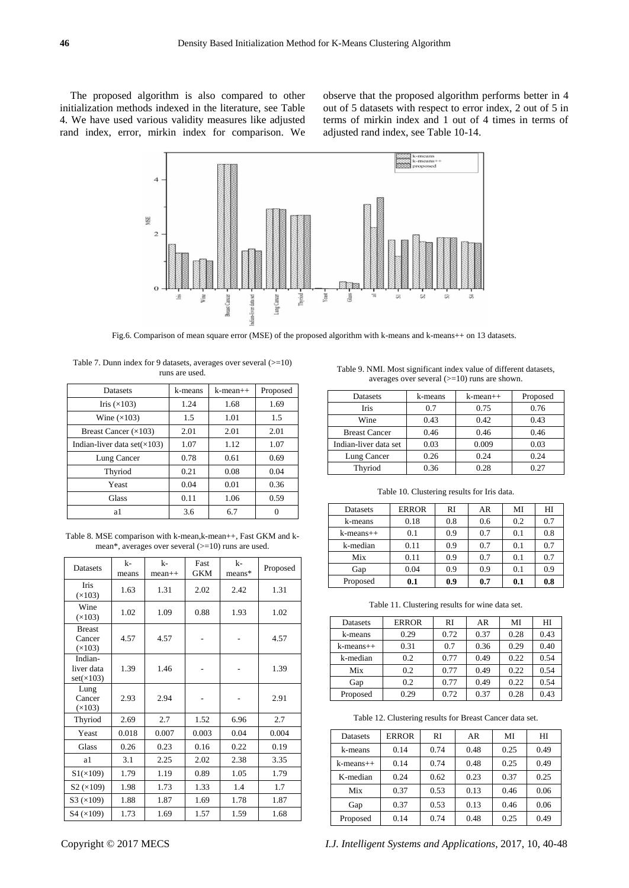The proposed algorithm is also compared to other initialization methods indexed in the literature, see Table 4. We have used various validity measures like adjusted rand index, error, mirkin index for comparison. We observe that the proposed algorithm performs better in 4 out of 5 datasets with respect to error index, 2 out of 5 in terms of mirkin index and 1 out of 4 times in terms of adjusted rand index, see Table 10-14.



Fig.6. Comparison of mean square error (MSE) of the proposed algorithm with k-means and k-means++ on 13 datasets.

Table 7. Dunn index for 9 datasets, averages over several (>=10) runs are used.

| <b>Datasets</b>                      | k-means | $k$ -mean $++$ | Proposed |
|--------------------------------------|---------|----------------|----------|
| Iris $(\times 103)$                  | 1.24    | 1.68           | 1.69     |
| Wine $(\times 103)$                  | 1.5     | 1.01           | 1.5      |
| Breast Cancer $(\times 103)$         | 2.01    | 2.01           | 2.01     |
| Indian-liver data set $(\times 103)$ | 1.07    | 1.12           | 1.07     |
| Lung Cancer                          | 0.78    | 0.61           | 0.69     |
| Thyriod                              | 0.21    | 0.08           | 0.04     |
| Yeast                                | 0.04    | 0.01           | 0.36     |
| <b>Glass</b>                         | 0.11    | 1.06           | 0.59     |
| a1                                   | 3.6     | 6.7            |          |

Table 8. MSE comparison with k-mean,k-mean++, Fast GKM and kmean\*, averages over several (>=10) runs are used.

| Datasets                           | $k-$<br>means | $k-$<br>$mean++$ | Fast<br><b>GKM</b> | k-<br>means* | Proposed |
|------------------------------------|---------------|------------------|--------------------|--------------|----------|
| Iris<br>(x103)                     | 1.63          | 1.31             | 2.02               | 2.42         | 1.31     |
| Wine<br>(x103)                     | 1.02          | 1.09             | 0.88               | 1.93         | 1.02     |
| <b>Breast</b><br>Cancer<br>(x103)  | 4.57          | 4.57             |                    |              | 4.57     |
| Indian-<br>liver data<br>set(x103) | 1.39          | 1.46             |                    |              | 1.39     |
| Lung<br>Cancer<br>(x103)           | 2.93          | 2.94             |                    |              | 2.91     |
| Thyriod                            | 2.69          | 2.7              | 1.52               | 6.96         | 2.7      |
| Yeast                              | 0.018         | 0.007            | 0.003              | 0.04         | 0.004    |
| Glass                              | 0.26          | 0.23             | 0.16               | 0.22         | 0.19     |
| a1                                 | 3.1           | 2.25             | 2.02               | 2.38         | 3.35     |
| $S1(\times 109)$                   | 1.79          | 1.19             | 0.89               | 1.05         | 1.79     |
| S2 (x109)                          | 1.98          | 1.73             | 1.33               | 1.4          | 1.7      |
| S3 (x109)                          | 1.88          | 1.87             | 1.69               | 1.78         | 1.87     |
| S4 (x109)                          | 1.73          | 1.69             | 1.57               | 1.59         | 1.68     |

| Datasets             | k-means | $k$ -mean $++$ | Proposed |
|----------------------|---------|----------------|----------|
| Iris                 | 0.7     | 0.75           | 0.76     |
| Wine                 | 0.43    | 0.42           | 0.43     |
| <b>Breast Cancer</b> | ).46    | ) 46           | 146      |

Indian-liver data set  $\begin{array}{|c|c|c|c|c|} \hline 0.03 & 0.009 & 0.03 \end{array}$ 

Table 9. NMI. Most significant index value of different datasets, averages over several  $(>=10)$  runs are shown.

Lung Cancer 0.26 0.24 0.24 Thyriod 0.36 0.28 0.27

| Datasets        | <b>ERROR</b> | RI  | AR  | MI  | HI  |
|-----------------|--------------|-----|-----|-----|-----|
| k-means         | 0.18         | 0.8 | 0.6 | 0.2 | 0.7 |
| $k$ -means $++$ | 0.1          | 0.9 | 0.7 | 0.1 | 0.8 |
| k-median        | 0.11         | 0.9 | 0.7 | 0.1 | 0.7 |
| Mix             | 0.11         | 0.9 | 0.7 | 0.1 | 0.7 |
| Gap             | 0.04         | 0.9 | 0.9 | 0.1 | 0.9 |
| Proposed        | 0.1          | 0.9 | 0.7 | 0.1 | 0.8 |

Table 11. Clustering results for wine data set.

| Datasets  | <b>ERROR</b> | RI   | AR   | MI   | HI   |
|-----------|--------------|------|------|------|------|
| k-means   | 0.29         | 0.72 | 0.37 | 0.28 | 0.43 |
| k-means++ | 0.31         | 0.7  | 0.36 | 0.29 | 0.40 |
| k-median  | 0.2          | 0.77 | 0.49 | 0.22 | 0.54 |
| Mix       | 0.2          | 0.77 | 0.49 | 0.22 | 0.54 |
| Gap       | 0.2          | 0.77 | 0.49 | 0.22 | 0.54 |
| Proposed  | 0.29         | 0.72 | 0.37 | 0.28 | 0.43 |

Table 12. Clustering results for Breast Cancer data set.

| <b>Datasets</b> | <b>ERROR</b> | RI   | AR   | MI   | HI   |
|-----------------|--------------|------|------|------|------|
| k-means         | 0.14         | 0.74 | 0.48 | 0.25 | 0.49 |
| $k$ -means $++$ | 0.14         | 0.74 | 0.48 | 0.25 | 0.49 |
| K-median        | 0.24         | 0.62 | 0.23 | 0.37 | 0.25 |
| Mix             | 0.37         | 0.53 | 0.13 | 0.46 | 0.06 |
| Gap             | 0.37         | 0.53 | 0.13 | 0.46 | 0.06 |
| Proposed        | 0.14         | 0.74 | 0.48 | 0.25 | 0.49 |

Copyright © 2017 MECS *I.J. Intelligent Systems and Applications,* 2017, 10, 40-48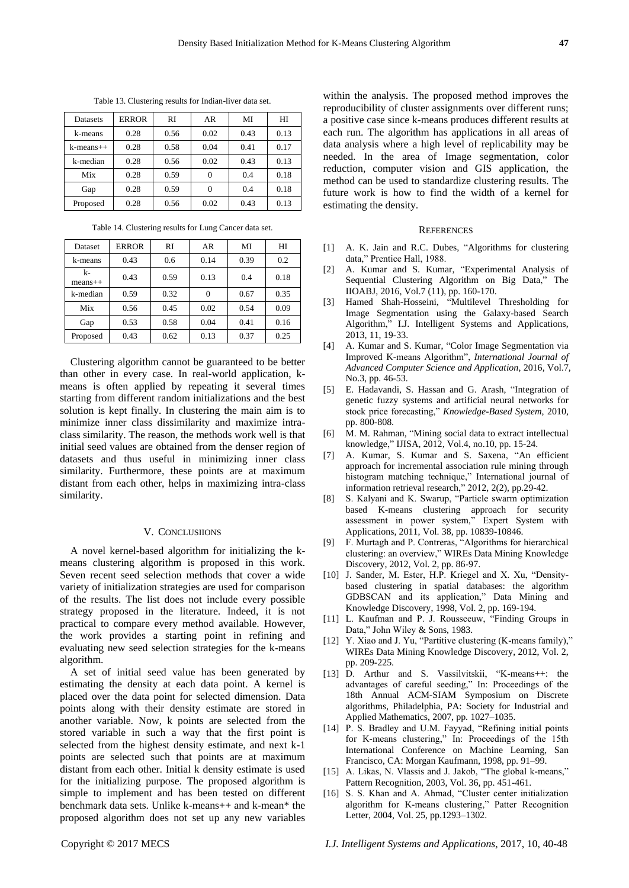Table 13. Clustering results for Indian-liver data set.

| Datasets  | <b>ERROR</b> | RI   | AR   | МI   | HI   |
|-----------|--------------|------|------|------|------|
| k-means   | 0.28         | 0.56 | 0.02 | 0.43 | 0.13 |
| k-means++ | 0.28         | 0.58 | 0.04 | 0.41 | 0.17 |
| k-median  | 0.28         | 0.56 | 0.02 | 0.43 | 0.13 |
| Mix       | 0.28         | 0.59 | 0    | 0.4  | 0.18 |
| Gap       | 0.28         | 0.59 | 0    | 0.4  | 0.18 |
| Proposed  | 0.28         | 0.56 | 0.02 | 0.43 | 0.13 |

Table 14. Clustering results for Lung Cancer data set.

| <b>Dataset</b>  | <b>ERROR</b> | RI   | AR   | MI   | HI   |
|-----------------|--------------|------|------|------|------|
| k-means         | 0.43         | 0.6  | 0.14 | 0.39 | 0.2  |
| k-<br>$means++$ | 0.43         | 0.59 | 0.13 | 0.4  | 0.18 |
| k-median        | 0.59         | 0.32 | 0    | 0.67 | 0.35 |
| Mix             | 0.56         | 0.45 | 0.02 | 0.54 | 0.09 |
| Gap             | 0.53         | 0.58 | 0.04 | 0.41 | 0.16 |
| Proposed        | 0.43         | 0.62 | 0.13 | 0.37 | 0.25 |

Clustering algorithm cannot be guaranteed to be better than other in every case. In real-world application, kmeans is often applied by repeating it several times starting from different random initializations and the best solution is kept finally. In clustering the main aim is to minimize inner class dissimilarity and maximize intraclass similarity. The reason, the methods work well is that initial seed values are obtained from the denser region of datasets and thus useful in minimizing inner class similarity. Furthermore, these points are at maximum distant from each other, helps in maximizing intra-class similarity.

# V. CONCLUSIIONS

A novel kernel-based algorithm for initializing the kmeans clustering algorithm is proposed in this work. Seven recent seed selection methods that cover a wide variety of initialization strategies are used for comparison of the results. The list does not include every possible strategy proposed in the literature. Indeed, it is not practical to compare every method available. However, the work provides a starting point in refining and evaluating new seed selection strategies for the k-means algorithm.

A set of initial seed value has been generated by estimating the density at each data point. A kernel is placed over the data point for selected dimension. Data points along with their density estimate are stored in another variable. Now, k points are selected from the stored variable in such a way that the first point is selected from the highest density estimate, and next k-1 points are selected such that points are at maximum distant from each other. Initial k density estimate is used for the initializing purpose. The proposed algorithm is simple to implement and has been tested on different benchmark data sets. Unlike k-means++ and k-mean\* the proposed algorithm does not set up any new variables

within the analysis. The proposed method improves the reproducibility of cluster assignments over different runs; a positive case since k-means produces different results at each run. The algorithm has applications in all areas of data analysis where a high level of replicability may be needed. In the area of Image segmentation, color reduction, computer vision and GIS application, the method can be used to standardize clustering results. The future work is how to find the width of a kernel for estimating the density.

# **REFERENCES**

- [1] A. K. Jain and R.C. Dubes, "Algorithms for clustering data," Prentice Hall, 1988.
- [2] A. Kumar and S. Kumar, "Experimental Analysis of Sequential Clustering Algorithm on Big Data," The IIOABJ, 2016, Vol.7 (11), pp. 160-170.
- [3] Hamed Shah-Hosseini, "Multilevel Thresholding for Image Segmentation using the Galaxy-based Search Algorithm," I.J. Intelligent Systems and Applications, 2013, 11, 19-33.
- [4] A. Kumar and S. Kumar, "Color Image Segmentation via Improved K-means Algorithm", *International Journal of Advanced Computer Science and Application*, 2016, Vol.7, No.3, pp. 46-53.
- [5] E. Hadavandi, S. Hassan and G. Arash, "Integration of genetic fuzzy systems and artificial neural networks for stock price forecasting," *Knowledge-Based System*, 2010, pp. 800-808.
- [6] M. M. Rahman, "Mining social data to extract intellectual knowledge," IJISA, 2012, Vol.4, no.10, pp. 15-24.
- [7] A. Kumar, S. Kumar and S. Saxena, "An efficient approach for incremental association rule mining through histogram matching technique," International journal of information retrieval research," 2012, 2(2), pp.29-42.
- [8] S. Kalyani and K. Swarup, "Particle swarm optimization based K-means clustering approach for security assessment in power system," Expert System with Applications, 2011, Vol. 38, pp. 10839-10846.
- [9] F. Murtagh and P. Contreras, "Algorithms for hierarchical clustering: an overview," WIREs Data Mining Knowledge Discovery, 2012, Vol. 2, pp. 86-97.
- [10] J. Sander, M. Ester, H.P. Kriegel and X. Xu, "Densitybased clustering in spatial databases: the algorithm GDBSCAN and its application," Data Mining and Knowledge Discovery, 1998, Vol. 2, pp. 169-194.
- [11] L. Kaufman and P. J. Rousseeuw, "Finding Groups in Data," John Wiley & Sons, 1983.
- [12] Y. Xiao and J. Yu, "Partitive clustering (K-means family)," WIREs Data Mining Knowledge Discovery, 2012, Vol. 2, pp. 209-225.
- [13] D. Arthur and S. Vassilvitskii, "K-means++: the advantages of careful seeding," In: Proceedings of the 18th Annual ACM-SIAM Symposium on Discrete algorithms, Philadelphia, PA: Society for Industrial and Applied Mathematics, 2007, pp. 1027–1035.
- [14] P. S. Bradley and U.M. Fayyad, "Refining initial points for K-means clustering," In: Proceedings of the 15th International Conference on Machine Learning, San Francisco, CA: Morgan Kaufmann, 1998, pp. 91–99.
- [15] A. Likas, N. Vlassis and J. Jakob, "The global k-means," Pattern Recognition, 2003, Vol. 36, pp. 451-461.
- [16] S. S. Khan and A. Ahmad, "Cluster center initialization algorithm for K-means clustering," Patter Recognition Letter, 2004, Vol. 25, pp.1293–1302.